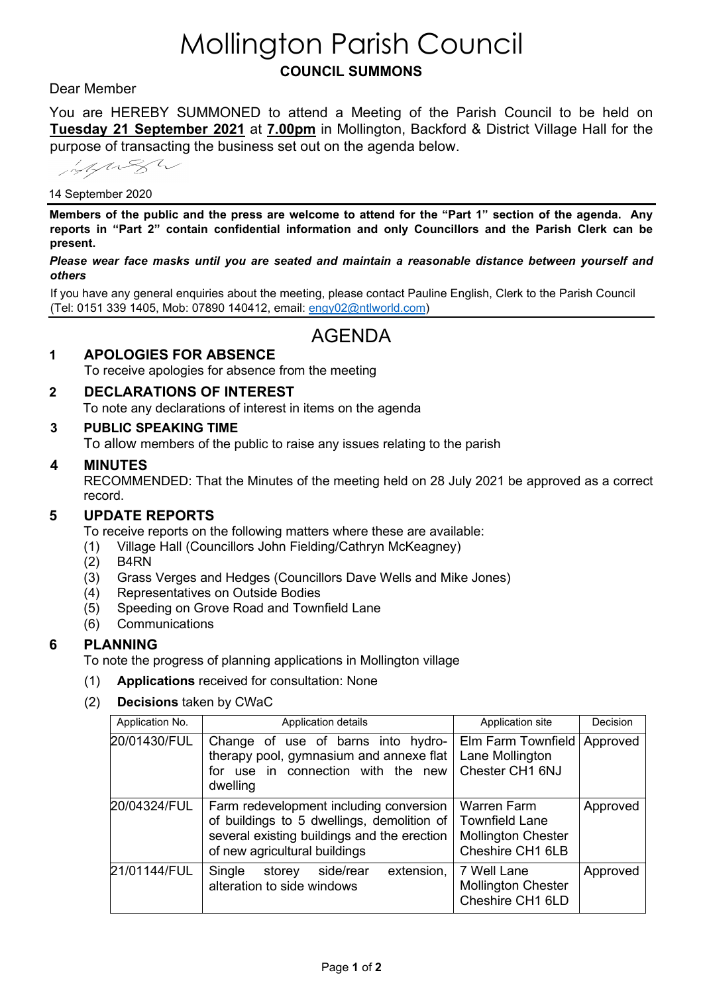# Mollington Parish Council **COUNCIL SUMMONS**

# Dear Member

You are HEREBY SUMMONED to attend a Meeting of the Parish Council to be held on **Tuesday 21 September 2021** at **7.00pm** in Mollington, Backford & District Village Hall for the purpose of transacting the business set out on the agenda below.

information

#### 14 September 2020

**Members of the public and the press are welcome to attend for the "Part 1" section of the agenda. Any reports in "Part 2" contain confidential information and only Councillors and the Parish Clerk can be present.** 

*Please wear face masks until you are seated and maintain a reasonable distance between yourself and others*

If you have any general enquiries about the meeting, please contact Pauline English, Clerk to the Parish Council (Tel: 0151 339 1405, Mob: 07890 140412, email: [engy02@ntlworld.com\)](mailto:engy02@ntlworld.com)

# AGENDA

# **1 APOLOGIES FOR ABSENCE**

To receive apologies for absence from the meeting

# **2 DECLARATIONS OF INTEREST**

To note any declarations of interest in items on the agenda

#### **3 PUBLIC SPEAKING TIME**

To allow members of the public to raise any issues relating to the parish

#### **4 MINUTES**

RECOMMENDED: That the Minutes of the meeting held on 28 July 2021 be approved as a correct record.

#### **5 UPDATE REPORTS**

To receive reports on the following matters where these are available:

- (1) Village Hall (Councillors John Fielding/Cathryn McKeagney)
- (2) B4RN
- (3) Grass Verges and Hedges (Councillors Dave Wells and Mike Jones)
- (4) Representatives on Outside Bodies
- (5) Speeding on Grove Road and Townfield Lane
- (6) Communications

#### **6 PLANNING**

To note the progress of planning applications in Mollington village

- (1) **Applications** received for consultation: None
- (2) **Decisions** taken by CWaC

| Application No. | Application details                                                                                                                                                   | Application site                                                                             | Decision |
|-----------------|-----------------------------------------------------------------------------------------------------------------------------------------------------------------------|----------------------------------------------------------------------------------------------|----------|
| 20/01430/FUL    | Change of use of barns into hydro-<br>therapy pool, gymnasium and annexe flat<br>for use in connection with the new<br>dwelling                                       | Elm Farm Townfield<br>Lane Mollington<br>Chester CH1 6NJ                                     | Approved |
| 20/04324/FUL    | Farm redevelopment including conversion<br>of buildings to 5 dwellings, demolition of<br>several existing buildings and the erection<br>of new agricultural buildings | <b>Warren Farm</b><br><b>Townfield Lane</b><br><b>Mollington Chester</b><br>Cheshire CH1 6LB | Approved |
| 21/01144/FUL    | extension,<br>Single<br>side/rear<br>storey<br>alteration to side windows                                                                                             | 7 Well Lane<br><b>Mollington Chester</b><br>Cheshire CH1 6LD                                 | Approved |